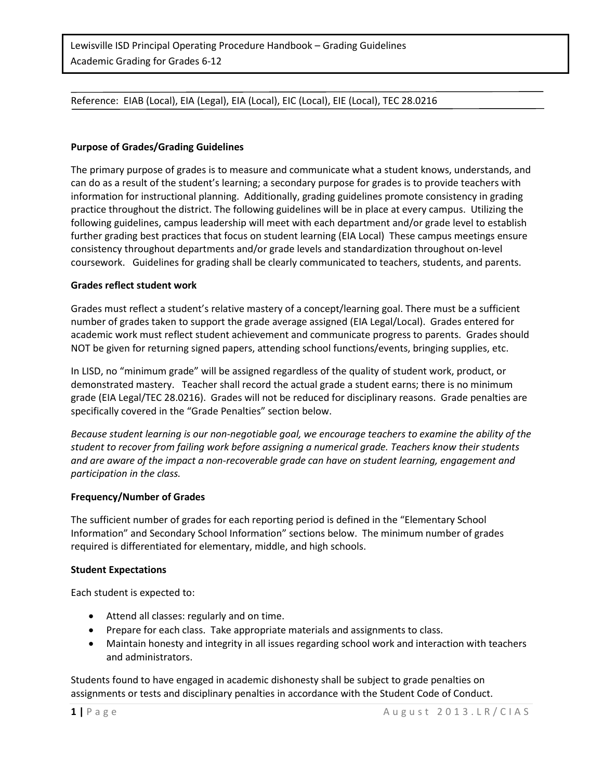## Reference: EIAB (Local), EIA (Legal), EIA (Local), EIC (Local), EIE (Local), TEC 28.0216

### **Purpose of Grades/Grading Guidelines**

The primary purpose of grades is to measure and communicate what a student knows, understands, and can do as a result of the student's learning; a secondary purpose for grades is to provide teachers with information for instructional planning. Additionally, grading guidelines promote consistency in grading practice throughout the district. The following guidelines will be in place at every campus. Utilizing the following guidelines, campus leadership will meet with each department and/or grade level to establish further grading best practices that focus on student learning (EIA Local) These campus meetings ensure consistency throughout departments and/or grade levels and standardization throughout on-level coursework. Guidelines for grading shall be clearly communicated to teachers, students, and parents.

#### **Grades reflect student work**

Grades must reflect a student's relative mastery of a concept/learning goal. There must be a sufficient number of grades taken to support the grade average assigned (EIA Legal/Local). Grades entered for academic work must reflect student achievement and communicate progress to parents. Grades should NOT be given for returning signed papers, attending school functions/events, bringing supplies, etc.

In LISD, no "minimum grade" will be assigned regardless of the quality of student work, product, or demonstrated mastery. Teacher shall record the actual grade a student earns; there is no minimum grade (EIA Legal/TEC 28.0216). Grades will not be reduced for disciplinary reasons. Grade penalties are specifically covered in the "Grade Penalties" section below.

*Because student learning is our non-negotiable goal, we encourage teachers to examine the ability of the student to recover from failing work before assigning a numerical grade. Teachers know their students and are aware of the impact a non-recoverable grade can have on student learning, engagement and participation in the class.* 

#### **Frequency/Number of Grades**

The sufficient number of grades for each reporting period is defined in the "Elementary School Information" and Secondary School Information" sections below. The minimum number of grades required is differentiated for elementary, middle, and high schools.

#### **Student Expectations**

Each student is expected to:

- Attend all classes: regularly and on time.
- Prepare for each class. Take appropriate materials and assignments to class.
- Maintain honesty and integrity in all issues regarding school work and interaction with teachers and administrators.

Students found to have engaged in academic dishonesty shall be subject to grade penalties on assignments or tests and disciplinary penalties in accordance with the Student Code of Conduct.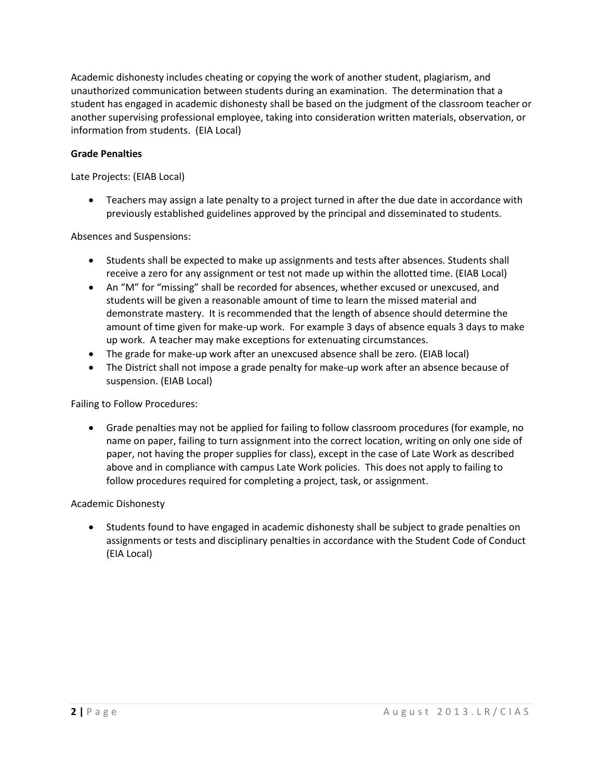Academic dishonesty includes cheating or copying the work of another student, plagiarism, and unauthorized communication between students during an examination. The determination that a student has engaged in academic dishonesty shall be based on the judgment of the classroom teacher or another supervising professional employee, taking into consideration written materials, observation, or information from students. (EIA Local)

## **Grade Penalties**

Late Projects: (EIAB Local)

• Teachers may assign a late penalty to a project turned in after the due date in accordance with previously established guidelines approved by the principal and disseminated to students.

Absences and Suspensions:

- Students shall be expected to make up assignments and tests after absences. Students shall receive a zero for any assignment or test not made up within the allotted time. (EIAB Local)
- An "M" for "missing" shall be recorded for absences, whether excused or unexcused, and students will be given a reasonable amount of time to learn the missed material and demonstrate mastery. It is recommended that the length of absence should determine the amount of time given for make-up work. For example 3 days of absence equals 3 days to make up work. A teacher may make exceptions for extenuating circumstances.
- The grade for make-up work after an unexcused absence shall be zero. (EIAB local)
- The District shall not impose a grade penalty for make-up work after an absence because of suspension. (EIAB Local)

Failing to Follow Procedures:

• Grade penalties may not be applied for failing to follow classroom procedures (for example, no name on paper, failing to turn assignment into the correct location, writing on only one side of paper, not having the proper supplies for class), except in the case of Late Work as described above and in compliance with campus Late Work policies. This does not apply to failing to follow procedures required for completing a project, task, or assignment.

#### Academic Dishonesty

• Students found to have engaged in academic dishonesty shall be subject to grade penalties on assignments or tests and disciplinary penalties in accordance with the Student Code of Conduct (EIA Local)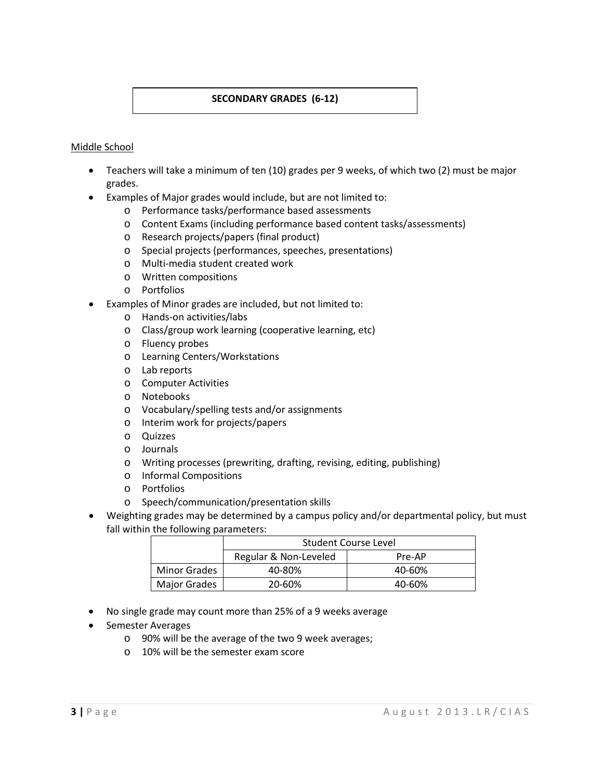# **SECONDARY GRADES (6-12)**

#### Middle School

- Teachers will take a minimum of ten (10) grades per 9 weeks, of which two (2) must be major grades.
- Examples of Major grades would include, but are not limited to:
	- o Performance tasks/performance based assessments
	- o Content Exams (including performance based content tasks/assessments)
	- o Research projects/papers (final product)
	- o Special projects (performances, speeches, presentations)
	- o Multi-media student created work
	- o Written compositions
	- o Portfolios
- Examples of Minor grades are included, but not limited to:
	- o Hands-on activities/labs
	- o Class/group work learning (cooperative learning, etc)
	- o Fluency probes
	- o Learning Centers/Workstations
	- o Lab reports
	- o Computer Activities
	- o Notebooks
	- o Vocabulary/spelling tests and/or assignments
	- o Interim work for projects/papers
	- o Quizzes
	- o Journals
	- o Writing processes (prewriting, drafting, revising, editing, publishing)
	- o Informal Compositions
	- o Portfolios
	- o Speech/communication/presentation skills
- Weighting grades may be determined by a campus policy and/or departmental policy, but must fall within the following parameters:

|                     | Student Course Level  |        |  |  |
|---------------------|-----------------------|--------|--|--|
|                     | Regular & Non-Leveled | Pre-AP |  |  |
| <b>Minor Grades</b> | 40-80%                | 40-60% |  |  |
| <b>Major Grades</b> | 20-60%                | 40-60% |  |  |

- No single grade may count more than 25% of a 9 weeks average
- Semester Averages
	- o 90% will be the average of the two 9 week averages;
	- o 10% will be the semester exam score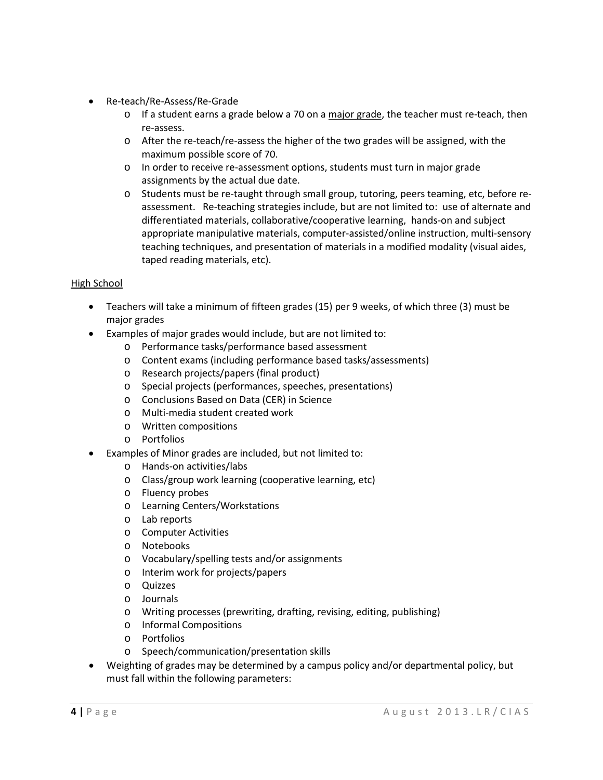- Re-teach/Re-Assess/Re-Grade
	- $\circ$  If a student earns a grade below a 70 on a major grade, the teacher must re-teach, then re-assess.
	- o After the re-teach/re-assess the higher of the two grades will be assigned, with the maximum possible score of 70.
	- o In order to receive re-assessment options, students must turn in major grade assignments by the actual due date.
	- o Students must be re-taught through small group, tutoring, peers teaming, etc, before reassessment. Re-teaching strategies include, but are not limited to: use of alternate and differentiated materials, collaborative/cooperative learning, hands-on and subject appropriate manipulative materials, computer-assisted/online instruction, multi-sensory teaching techniques, and presentation of materials in a modified modality (visual aides, taped reading materials, etc).

# High School

- Teachers will take a minimum of fifteen grades (15) per 9 weeks, of which three (3) must be major grades
- Examples of major grades would include, but are not limited to:
	- o Performance tasks/performance based assessment
	- o Content exams (including performance based tasks/assessments)
	- o Research projects/papers (final product)
	- o Special projects (performances, speeches, presentations)
	- o Conclusions Based on Data (CER) in Science
	- o Multi-media student created work
	- o Written compositions
	- o Portfolios
	- Examples of Minor grades are included, but not limited to:
		- o Hands-on activities/labs
		- o Class/group work learning (cooperative learning, etc)
		- o Fluency probes
		- o Learning Centers/Workstations
		- o Lab reports
		- o Computer Activities
		- o Notebooks
		- o Vocabulary/spelling tests and/or assignments
		- o Interim work for projects/papers
		- o Quizzes
		- o Journals
		- o Writing processes (prewriting, drafting, revising, editing, publishing)
		- o Informal Compositions
		- o Portfolios
		- o Speech/communication/presentation skills
- Weighting of grades may be determined by a campus policy and/or departmental policy, but must fall within the following parameters: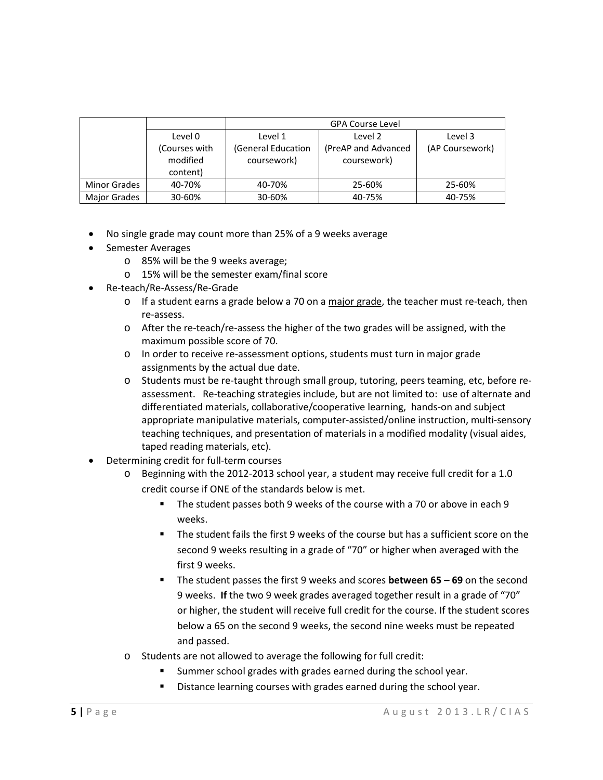|                     |               | <b>GPA Course Level</b> |                     |                 |
|---------------------|---------------|-------------------------|---------------------|-----------------|
|                     | Level 0       | Level 1                 | Level 2             | Level 3         |
|                     | (Courses with | (General Education      | (PreAP and Advanced | (AP Coursework) |
|                     | modified      | coursework)             | coursework)         |                 |
|                     | content)      |                         |                     |                 |
| <b>Minor Grades</b> | 40-70%        | 40-70%                  | 25-60%              | 25-60%          |
| <b>Major Grades</b> | 30-60%        | 30-60%                  | 40-75%              | 40-75%          |

- No single grade may count more than 25% of a 9 weeks average
- Semester Averages
	- o 85% will be the 9 weeks average;
	- o 15% will be the semester exam/final score
- Re-teach/Re-Assess/Re-Grade
	- $\circ$  If a student earns a grade below a 70 on a major grade, the teacher must re-teach, then re-assess.
	- o After the re-teach/re-assess the higher of the two grades will be assigned, with the maximum possible score of 70.
	- o In order to receive re-assessment options, students must turn in major grade assignments by the actual due date.
	- o Students must be re-taught through small group, tutoring, peers teaming, etc, before reassessment. Re-teaching strategies include, but are not limited to: use of alternate and differentiated materials, collaborative/cooperative learning, hands-on and subject appropriate manipulative materials, computer-assisted/online instruction, multi-sensory teaching techniques, and presentation of materials in a modified modality (visual aides, taped reading materials, etc).
- Determining credit for full-term courses
	- o Beginning with the 2012-2013 school year, a student may receive full credit for a 1.0 credit course if ONE of the standards below is met.
		- The student passes both 9 weeks of the course with a 70 or above in each 9 weeks.
		- The student fails the first 9 weeks of the course but has a sufficient score on the second 9 weeks resulting in a grade of "70" or higher when averaged with the first 9 weeks.
		- The student passes the first 9 weeks and scores **between 65 – 69** on the second 9 weeks. **If** the two 9 week grades averaged together result in a grade of "70" or higher, the student will receive full credit for the course. If the student scores below a 65 on the second 9 weeks, the second nine weeks must be repeated and passed.
	- o Students are not allowed to average the following for full credit:
		- Summer school grades with grades earned during the school year.
		- Distance learning courses with grades earned during the school year.